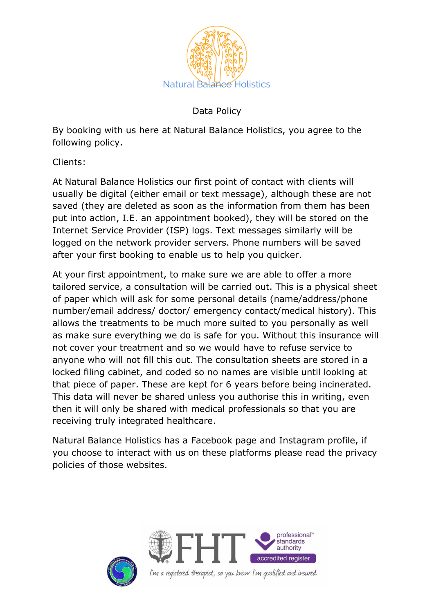

Data Policy

By booking with us here at Natural Balance Holistics, you agree to the following policy.

Clients:

At Natural Balance Holistics our first point of contact with clients will usually be digital (either email or text message), although these are not saved (they are deleted as soon as the information from them has been put into action, I.E. an appointment booked), they will be stored on the Internet Service Provider (ISP) logs. Text messages similarly will be logged on the network provider servers. Phone numbers will be saved after your first booking to enable us to help you quicker.

At your first appointment, to make sure we are able to offer a more tailored service, a consultation will be carried out. This is a physical sheet of paper which will ask for some personal details (name/address/phone number/email address/ doctor/ emergency contact/medical history). This allows the treatments to be much more suited to you personally as well as make sure everything we do is safe for you. Without this insurance will not cover your treatment and so we would have to refuse service to anyone who will not fill this out. The consultation sheets are stored in a locked filing cabinet, and coded so no names are visible until looking at that piece of paper. These are kept for 6 years before being incinerated. This data will never be shared unless you authorise this in writing, even then it will only be shared with medical professionals so that you are receiving truly integrated healthcare.

Natural Balance Holistics has a Facebook page and Instagram profile, if you choose to interact with us on these platforms please read the privacy policies of those websites.





I'm a registered therapist, so you know I'm qualified and insured